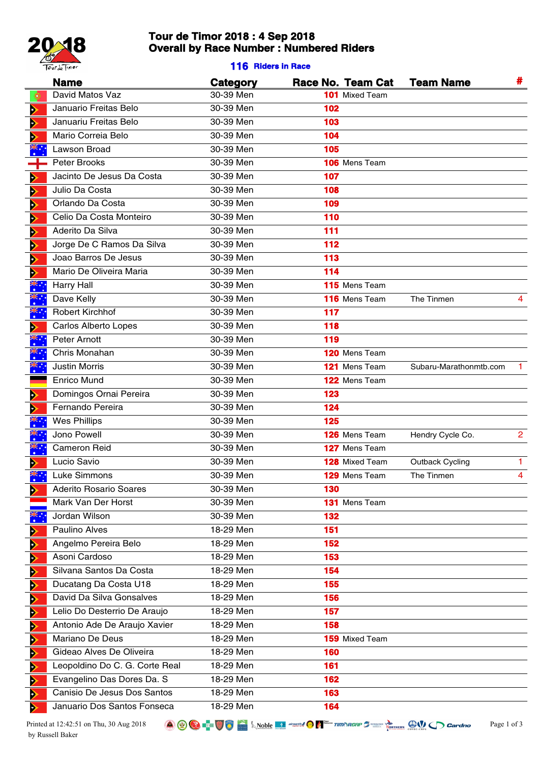

# **Tour de Timor 2018 : 4 Sep 2018 Overall by Race Number : Numbered Riders**

### **116 Riders in Race**

|   | <b>Name</b>                    | Category  | Race No. Team Cat     | <b>Team Name</b>       | #              |
|---|--------------------------------|-----------|-----------------------|------------------------|----------------|
| œ | David Matos Vaz                | 30-39 Men | <b>101</b> Mixed Team |                        |                |
| ⋗ | Januario Freitas Belo          | 30-39 Men | 102                   |                        |                |
| ⋗ | Januariu Freitas Belo          | 30-39 Men | 103                   |                        |                |
| Þ | Mario Correia Belo             | 30-39 Men | 104                   |                        |                |
|   | Lawson Broad                   | 30-39 Men | 105                   |                        |                |
|   | Peter Brooks                   | 30-39 Men | 106 Mens Team         |                        |                |
| ⋗ | Jacinto De Jesus Da Costa      | 30-39 Men | 107                   |                        |                |
| ⋗ | Julio Da Costa                 | 30-39 Men | 108                   |                        |                |
| ⋗ | Orlando Da Costa               | 30-39 Men | 109                   |                        |                |
| Þ | Celio Da Costa Monteiro        | 30-39 Men | 110                   |                        |                |
| ⋗ | Aderito Da Silva               | 30-39 Men | 111                   |                        |                |
| ⋗ | Jorge De C Ramos Da Silva      | 30-39 Men | 112                   |                        |                |
| ⋗ | Joao Barros De Jesus           | 30-39 Men | 113                   |                        |                |
| ⋗ | Mario De Oliveira Maria        | 30-39 Men | 114                   |                        |                |
|   | Harry Hall                     | 30-39 Men | 115 Mens Team         |                        |                |
|   | Dave Kelly                     | 30-39 Men | 116 Mens Team         | The Tinmen             | 4              |
|   | <b>Robert Kirchhof</b>         | 30-39 Men | 117                   |                        |                |
|   | <b>Carlos Alberto Lopes</b>    | 30-39 Men | 118                   |                        |                |
|   | Peter Arnott                   | 30-39 Men | 119                   |                        |                |
|   | Chris Monahan                  | 30-39 Men | 120 Mens Team         |                        |                |
|   | <b>Justin Morris</b>           | 30-39 Men | 121 Mens Team         | Subaru-Marathonmtb.com |                |
|   | <b>Enrico Mund</b>             | 30-39 Men | 122 Mens Team         |                        |                |
| ⋗ | Domingos Ornai Pereira         | 30-39 Men | 123                   |                        |                |
| ⋗ | Fernando Pereira               | 30-39 Men | 124                   |                        |                |
|   | <b>Wes Phillips</b>            | 30-39 Men | 125                   |                        |                |
|   | Jono Powell                    | 30-39 Men | 126 Mens Team         | Hendry Cycle Co.       | $\overline{2}$ |
|   | <b>Cameron Reid</b>            | 30-39 Men | 127 Mens Team         |                        |                |
|   | Lucio Savio                    | 30-39 Men | <b>128</b> Mixed Team | Outback Cycling        | 1              |
|   | Luke Simmons                   | 30-39 Men | 129 Mens Team         | The Tinmen             | 4              |
| ⋗ | <b>Aderito Rosario Soares</b>  | 30-39 Men | 130                   |                        |                |
|   | Mark Van Der Horst             | 30-39 Men | 131 Mens Team         |                        |                |
|   | Jordan Wilson                  | 30-39 Men | 132                   |                        |                |
| ⋗ | Paulino Alves                  | 18-29 Men | 151                   |                        |                |
| Þ | Angelmo Pereira Belo           | 18-29 Men | 152                   |                        |                |
| ⋗ | Asoni Cardoso                  | 18-29 Men | 153                   |                        |                |
| Đ | Silvana Santos Da Costa        | 18-29 Men | 154                   |                        |                |
| ⋗ | Ducatang Da Costa U18          | 18-29 Men | 155                   |                        |                |
| Þ | David Da Silva Gonsalves       | 18-29 Men | 156                   |                        |                |
| ◆ | Lelio Do Desterrio De Araujo   | 18-29 Men | 157                   |                        |                |
| Þ | Antonio Ade De Araujo Xavier   | 18-29 Men | 158                   |                        |                |
| D | Mariano De Deus                | 18-29 Men | <b>159</b> Mixed Team |                        |                |
| Đ | Gideao Alves De Oliveira       | 18-29 Men | 160                   |                        |                |
| ◆ | Leopoldino Do C. G. Corte Real | 18-29 Men | 161                   |                        |                |
| Þ | Evangelino Das Dores Da. S     | 18-29 Men | 162                   |                        |                |
| ⋗ | Canisio De Jesus Dos Santos    | 18-29 Men | 163                   |                        |                |
| ⋗ | Januario Dos Santos Fonseca    | 18-29 Men | 164                   |                        |                |

Printed at 12:42:51 on Thu, 30 Aug 2018 **Page 1**  $\bigcirc$  **Page 1**  $\bigcirc$  **Page 1**  $\bigcirc$   $\bigcirc$  **Page 1** of 3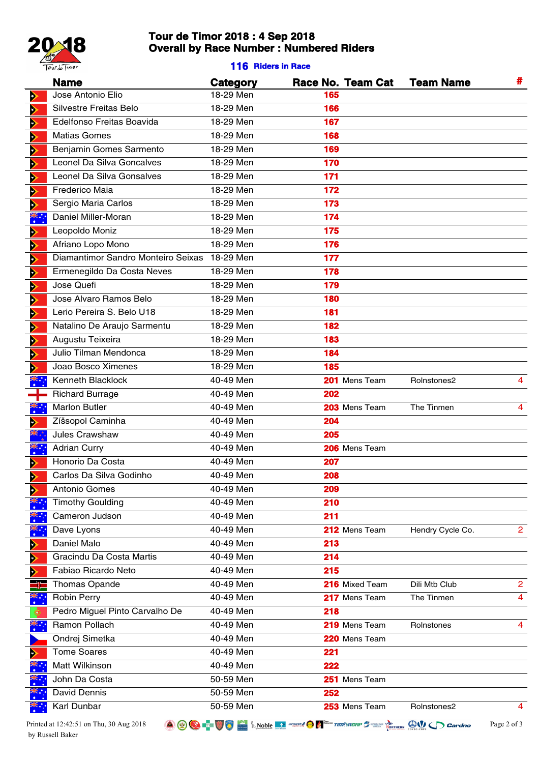

# **Tour de Timor 2018 : 4 Sep 2018 Overall by Race Number : Numbered Riders**

### **116 Riders in Race**

|      | <b>Name</b>                             | Category  |     | Race No. Team Cat | <b>Team Name</b>                                                                                                            | #              |
|------|-----------------------------------------|-----------|-----|-------------------|-----------------------------------------------------------------------------------------------------------------------------|----------------|
| Þ    | Jose Antonio Elio                       | 18-29 Men | 165 |                   |                                                                                                                             |                |
| Þ    | Silvestre Freitas Belo                  | 18-29 Men | 166 |                   |                                                                                                                             |                |
| Ð    | Edelfonso Freitas Boavida               | 18-29 Men | 167 |                   |                                                                                                                             |                |
| Þ    | <b>Matias Gomes</b>                     | 18-29 Men | 168 |                   |                                                                                                                             |                |
| Þ    | Benjamin Gomes Sarmento                 | 18-29 Men | 169 |                   |                                                                                                                             |                |
| Þ    | Leonel Da Silva Goncalves               | 18-29 Men | 170 |                   |                                                                                                                             |                |
| Ð    | Leonel Da Silva Gonsalves               | 18-29 Men | 171 |                   |                                                                                                                             |                |
| Þ    | Frederico Maia                          | 18-29 Men | 172 |                   |                                                                                                                             |                |
| ⋗    | Sergio Maria Carlos                     | 18-29 Men | 173 |                   |                                                                                                                             |                |
| ॕ    | Daniel Miller-Moran                     | 18-29 Men | 174 |                   |                                                                                                                             |                |
| ⋗    | Leopoldo Moniz                          | 18-29 Men | 175 |                   |                                                                                                                             |                |
| Þ    | Afriano Lopo Mono                       | 18-29 Men | 176 |                   |                                                                                                                             |                |
| ⋗    | Diamantimor Sandro Monteiro Seixas      | 18-29 Men | 177 |                   |                                                                                                                             |                |
| Þ    | Ermenegildo Da Costa Neves              | 18-29 Men | 178 |                   |                                                                                                                             |                |
| ⋗    | Jose Quefi                              | 18-29 Men | 179 |                   |                                                                                                                             |                |
| Þ    | Jose Alvaro Ramos Belo                  | 18-29 Men | 180 |                   |                                                                                                                             |                |
| Þ    | Lerio Pereira S. Belo U18               | 18-29 Men | 181 |                   |                                                                                                                             |                |
| Þ    | Natalino De Araujo Sarmentu             | 18-29 Men | 182 |                   |                                                                                                                             |                |
| Þ    | Augustu Teixeira                        | 18-29 Men | 183 |                   |                                                                                                                             |                |
| Þ    | Julio Tilman Mendonca                   | 18-29 Men | 184 |                   |                                                                                                                             |                |
| ⋗    | Joao Bosco Ximenes                      | 18-29 Men | 185 |                   |                                                                                                                             |                |
|      | Kenneth Blacklock                       | 40-49 Men |     | 201 Mens Team     | Rolnstones2                                                                                                                 | 4              |
|      | <b>Richard Burrage</b>                  | 40-49 Men | 202 |                   |                                                                                                                             |                |
| ҉    | <b>Marlon Butler</b>                    | 40-49 Men |     | 203 Mens Team     | The Tinmen                                                                                                                  | 4              |
| ⋗    | Zíšsopol Caminha                        | 40-49 Men | 204 |                   |                                                                                                                             |                |
|      | Jules Crawshaw                          | 40-49 Men | 205 |                   |                                                                                                                             |                |
| ≍€.∙ | <b>Adrian Curry</b>                     | 40-49 Men |     | 206 Mens Team     |                                                                                                                             |                |
|      | Honorio Da Costa                        | 40-49 Men | 207 |                   |                                                                                                                             |                |
| ⋗    | Carlos Da Silva Godinho                 | 40-49 Men | 208 |                   |                                                                                                                             |                |
| Þ    | Antonio Gomes                           | 40-49 Men | 209 |                   |                                                                                                                             |                |
|      | <b>Timothy Goulding</b>                 | 40-49 Men | 210 |                   |                                                                                                                             |                |
|      | Cameron Judson                          | 40-49 Men | 211 |                   |                                                                                                                             |                |
|      | Dave Lyons                              | 40-49 Men |     | 212 Mens Team     | Hendry Cycle Co.                                                                                                            | $\mathbf{2}$   |
|      | Daniel Malo                             | 40-49 Men | 213 |                   |                                                                                                                             |                |
| Đ    | Gracindu Da Costa Martis                | 40-49 Men | 214 |                   |                                                                                                                             |                |
| Ð    | Fabiao Ricardo Neto                     | 40-49 Men | 215 |                   |                                                                                                                             |                |
|      | <b>Thomas Opande</b>                    | 40-49 Men |     | 216 Mixed Team    | Dili Mtb Club                                                                                                               | $\overline{2}$ |
|      | <b>Robin Perry</b>                      | 40-49 Men |     | 217 Mens Team     | The Tinmen                                                                                                                  | 4              |
|      | Pedro Miguel Pinto Carvalho De          | 40-49 Men | 218 |                   |                                                                                                                             |                |
| ॕ    | Ramon Pollach                           | 40-49 Men |     | 219 Mens Team     | Rolnstones                                                                                                                  | 4              |
|      | Ondrej Simetka                          | 40-49 Men |     | 220 Mens Team     |                                                                                                                             |                |
| Þ    | <b>Tome Soares</b>                      | 40-49 Men | 221 |                   |                                                                                                                             |                |
|      | Matt Wilkinson                          | 40-49 Men | 222 |                   |                                                                                                                             |                |
|      | John Da Costa                           | 50-59 Men |     | 251 Mens Team     |                                                                                                                             |                |
|      | David Dennis                            | 50-59 Men | 252 |                   |                                                                                                                             |                |
|      | Karl Dunbar                             | 50-59 Men |     | 253 Mens Team     | Rolnstones2                                                                                                                 | 4              |
|      | Printed at 12:42:51 on Thu, 30 Aug 2018 |           |     |                   | A 2 C F US A Woble <b>EX</b> <i>Mobile</i> EX <i>Mercital</i> O <i>M<sup>EXA</sup> TIMORGAP 3</i> EX Restricts CV C Cardino | Page 2 of 3    |